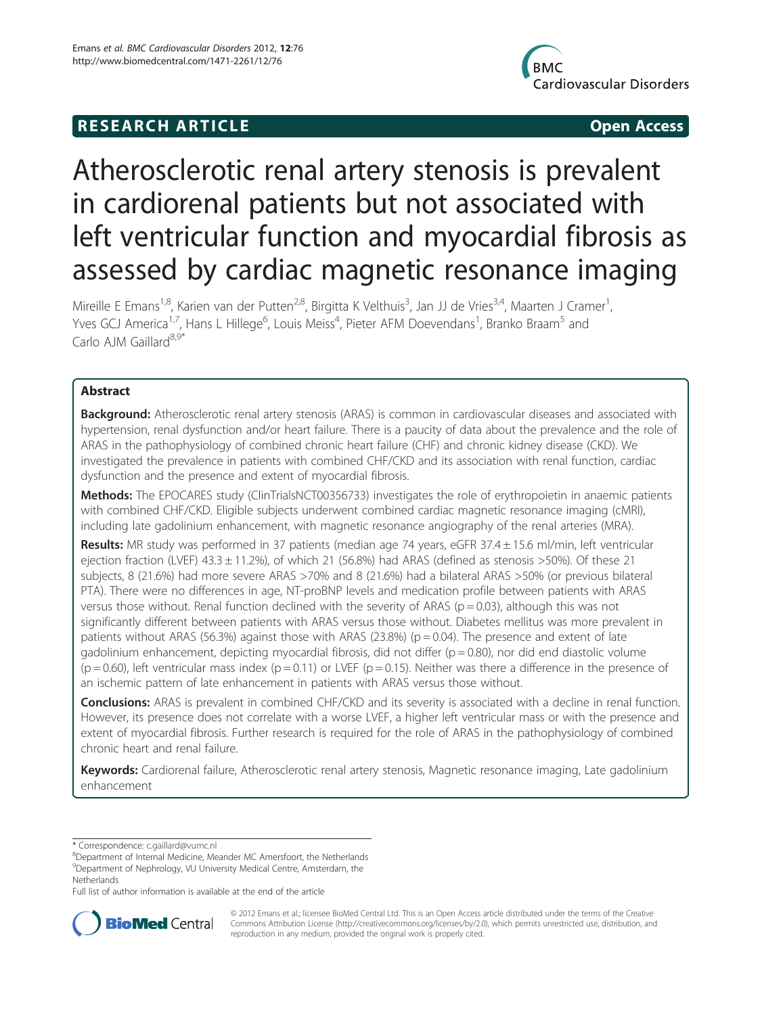# **RESEARCH ARTICLE Example 2018 12:00 Open Access**



# Atherosclerotic renal artery stenosis is prevalent in cardiorenal patients but not associated with left ventricular function and myocardial fibrosis as assessed by cardiac magnetic resonance imaging

Mireille E Emans<sup>1,8</sup>, Karien van der Putten<sup>2,8</sup>, Birgitta K Velthuis<sup>3</sup>, Jan JJ de Vries<sup>3,4</sup>, Maarten J Cramer<sup>1</sup> , Yves GCJ America<sup>1,7</sup>, Hans L Hillege<sup>6</sup>, Louis Meiss<sup>4</sup>, Pieter AFM Doevendans<sup>1</sup>, Branko Braam<sup>5</sup> and Carlo AJM Gaillard $8,9$ <sup>\*</sup>

# Abstract

**Background:** Atherosclerotic renal artery stenosis (ARAS) is common in cardiovascular diseases and associated with hypertension, renal dysfunction and/or heart failure. There is a paucity of data about the prevalence and the role of ARAS in the pathophysiology of combined chronic heart failure (CHF) and chronic kidney disease (CKD). We investigated the prevalence in patients with combined CHF/CKD and its association with renal function, cardiac dysfunction and the presence and extent of myocardial fibrosis.

Methods: The EPOCARES study (ClinTrialsNCT00356733) investigates the role of erythropoietin in anaemic patients with combined CHF/CKD. Eligible subjects underwent combined cardiac magnetic resonance imaging (cMRI), including late gadolinium enhancement, with magnetic resonance angiography of the renal arteries (MRA).

Results: MR study was performed in 37 patients (median age 74 years, eGFR 37.4 ± 15.6 ml/min, left ventricular ejection fraction (LVEF) 43.3 ± 11.2%), of which 21 (56.8%) had ARAS (defined as stenosis >50%). Of these 21 subjects, 8 (21.6%) had more severe ARAS >70% and 8 (21.6%) had a bilateral ARAS >50% (or previous bilateral PTA). There were no differences in age, NT-proBNP levels and medication profile between patients with ARAS versus those without. Renal function declined with the severity of ARAS ( $p = 0.03$ ), although this was not significantly different between patients with ARAS versus those without. Diabetes mellitus was more prevalent in patients without ARAS (56.3%) against those with ARAS (23.8%) ( $p = 0.04$ ). The presence and extent of late gadolinium enhancement, depicting myocardial fibrosis, did not differ (p = 0.80), nor did end diastolic volume  $(p = 0.60)$ , left ventricular mass index  $(p = 0.11)$  or LVEF  $(p = 0.15)$ . Neither was there a difference in the presence of an ischemic pattern of late enhancement in patients with ARAS versus those without.

**Conclusions:** ARAS is prevalent in combined CHF/CKD and its severity is associated with a decline in renal function. However, its presence does not correlate with a worse LVEF, a higher left ventricular mass or with the presence and extent of myocardial fibrosis. Further research is required for the role of ARAS in the pathophysiology of combined chronic heart and renal failure.

Keywords: Cardiorenal failure, Atherosclerotic renal artery stenosis, Magnetic resonance imaging, Late gadolinium enhancement

\* Correspondence: [c.gaillard@vumc.nl](mailto:c.gaillard@vumc.nl) <sup>8</sup>

Department of Internal Medicine, Meander MC Amersfoort, the Netherlands <sup>9</sup>Department of Nephrology, VU University Medical Centre, Amsterdam, the Netherlands

Full list of author information is available at the end of the article



© 2012 Emans et al.; licensee BioMed Central Ltd. This is an Open Access article distributed under the terms of the Creative Commons Attribution License [\(http://creativecommons.org/licenses/by/2.0\)](http://creativecommons.org/licenses/by/2.0), which permits unrestricted use, distribution, and reproduction in any medium, provided the original work is properly cited.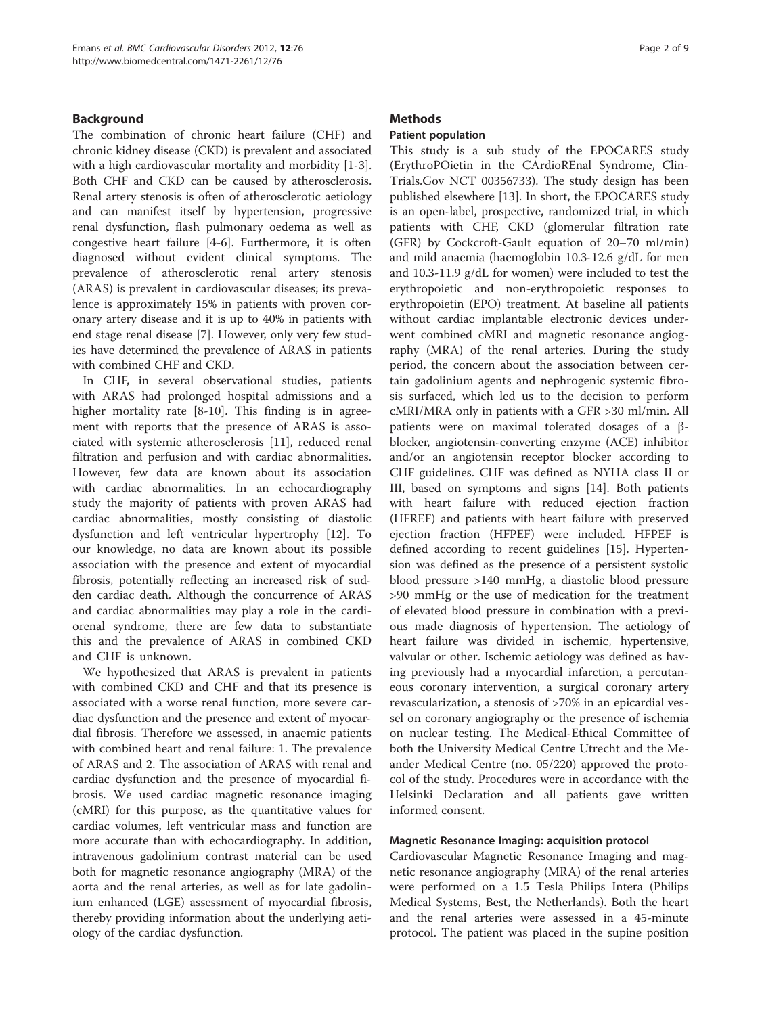# Background

The combination of chronic heart failure (CHF) and chronic kidney disease (CKD) is prevalent and associated with a high cardiovascular mortality and morbidity [[1-3](#page-7-0)]. Both CHF and CKD can be caused by atherosclerosis. Renal artery stenosis is often of atherosclerotic aetiology and can manifest itself by hypertension, progressive renal dysfunction, flash pulmonary oedema as well as congestive heart failure [\[4](#page-7-0)-[6\]](#page-7-0). Furthermore, it is often diagnosed without evident clinical symptoms. The prevalence of atherosclerotic renal artery stenosis (ARAS) is prevalent in cardiovascular diseases; its prevalence is approximately 15% in patients with proven coronary artery disease and it is up to 40% in patients with end stage renal disease [[7\]](#page-8-0). However, only very few studies have determined the prevalence of ARAS in patients with combined CHF and CKD.

In CHF, in several observational studies, patients with ARAS had prolonged hospital admissions and a higher mortality rate [\[8](#page-8-0)-[10\]](#page-8-0). This finding is in agreement with reports that the presence of ARAS is associated with systemic atherosclerosis [[11\]](#page-8-0), reduced renal filtration and perfusion and with cardiac abnormalities. However, few data are known about its association with cardiac abnormalities. In an echocardiography study the majority of patients with proven ARAS had cardiac abnormalities, mostly consisting of diastolic dysfunction and left ventricular hypertrophy [\[12\]](#page-8-0). To our knowledge, no data are known about its possible association with the presence and extent of myocardial fibrosis, potentially reflecting an increased risk of sudden cardiac death. Although the concurrence of ARAS and cardiac abnormalities may play a role in the cardiorenal syndrome, there are few data to substantiate this and the prevalence of ARAS in combined CKD and CHF is unknown.

We hypothesized that ARAS is prevalent in patients with combined CKD and CHF and that its presence is associated with a worse renal function, more severe cardiac dysfunction and the presence and extent of myocardial fibrosis. Therefore we assessed, in anaemic patients with combined heart and renal failure: 1. The prevalence of ARAS and 2. The association of ARAS with renal and cardiac dysfunction and the presence of myocardial fibrosis. We used cardiac magnetic resonance imaging (cMRI) for this purpose, as the quantitative values for cardiac volumes, left ventricular mass and function are more accurate than with echocardiography. In addition, intravenous gadolinium contrast material can be used both for magnetic resonance angiography (MRA) of the aorta and the renal arteries, as well as for late gadolinium enhanced (LGE) assessment of myocardial fibrosis, thereby providing information about the underlying aetiology of the cardiac dysfunction.

# **Methods**

## Patient population

This study is a sub study of the EPOCARES study (ErythroPOietin in the CArdioREnal Syndrome, Clin-Trials.Gov NCT 00356733). The study design has been published elsewhere [[13\]](#page-8-0). In short, the EPOCARES study is an open-label, prospective, randomized trial, in which patients with CHF, CKD (glomerular filtration rate (GFR) by Cockcroft-Gault equation of 20–70 ml/min) and mild anaemia (haemoglobin 10.3-12.6 g/dL for men and 10.3-11.9 g/dL for women) were included to test the erythropoietic and non-erythropoietic responses to erythropoietin (EPO) treatment. At baseline all patients without cardiac implantable electronic devices underwent combined cMRI and magnetic resonance angiography (MRA) of the renal arteries. During the study period, the concern about the association between certain gadolinium agents and nephrogenic systemic fibrosis surfaced, which led us to the decision to perform cMRI/MRA only in patients with a GFR >30 ml/min. All patients were on maximal tolerated dosages of a βblocker, angiotensin-converting enzyme (ACE) inhibitor and/or an angiotensin receptor blocker according to CHF guidelines. CHF was defined as NYHA class II or III, based on symptoms and signs [\[14](#page-8-0)]. Both patients with heart failure with reduced ejection fraction (HFREF) and patients with heart failure with preserved ejection fraction (HFPEF) were included. HFPEF is defined according to recent guidelines [[15\]](#page-8-0). Hypertension was defined as the presence of a persistent systolic blood pressure >140 mmHg, a diastolic blood pressure >90 mmHg or the use of medication for the treatment of elevated blood pressure in combination with a previous made diagnosis of hypertension. The aetiology of heart failure was divided in ischemic, hypertensive, valvular or other. Ischemic aetiology was defined as having previously had a myocardial infarction, a percutaneous coronary intervention, a surgical coronary artery revascularization, a stenosis of >70% in an epicardial vessel on coronary angiography or the presence of ischemia on nuclear testing. The Medical-Ethical Committee of both the University Medical Centre Utrecht and the Meander Medical Centre (no. 05/220) approved the protocol of the study. Procedures were in accordance with the Helsinki Declaration and all patients gave written informed consent.

## Magnetic Resonance Imaging: acquisition protocol

Cardiovascular Magnetic Resonance Imaging and magnetic resonance angiography (MRA) of the renal arteries were performed on a 1.5 Tesla Philips Intera (Philips Medical Systems, Best, the Netherlands). Both the heart and the renal arteries were assessed in a 45-minute protocol. The patient was placed in the supine position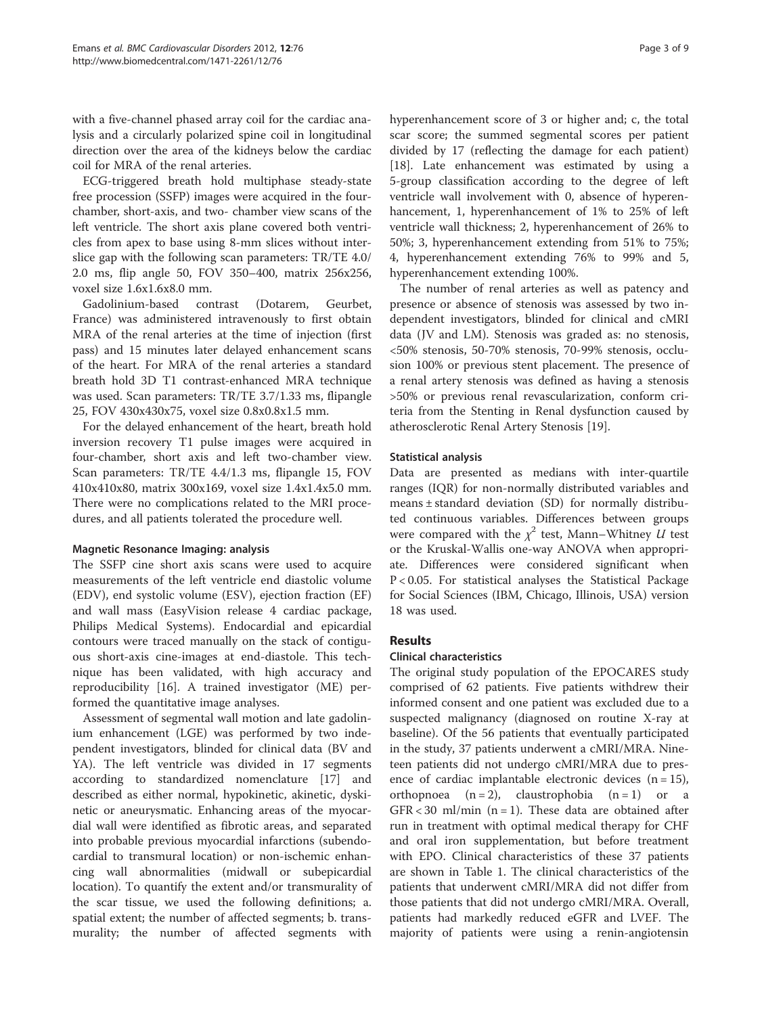with a five-channel phased array coil for the cardiac analysis and a circularly polarized spine coil in longitudinal direction over the area of the kidneys below the cardiac coil for MRA of the renal arteries.

ECG-triggered breath hold multiphase steady-state free procession (SSFP) images were acquired in the fourchamber, short-axis, and two- chamber view scans of the left ventricle. The short axis plane covered both ventricles from apex to base using 8-mm slices without interslice gap with the following scan parameters: TR/TE 4.0/ 2.0 ms, flip angle 50, FOV 350–400, matrix 256x256, voxel size 1.6x1.6x8.0 mm.

Gadolinium-based contrast (Dotarem, Geurbet, France) was administered intravenously to first obtain MRA of the renal arteries at the time of injection (first pass) and 15 minutes later delayed enhancement scans of the heart. For MRA of the renal arteries a standard breath hold 3D T1 contrast-enhanced MRA technique was used. Scan parameters: TR/TE 3.7/1.33 ms, flipangle 25, FOV 430x430x75, voxel size 0.8x0.8x1.5 mm.

For the delayed enhancement of the heart, breath hold inversion recovery T1 pulse images were acquired in four-chamber, short axis and left two-chamber view. Scan parameters: TR/TE 4.4/1.3 ms, flipangle 15, FOV 410x410x80, matrix 300x169, voxel size 1.4x1.4x5.0 mm. There were no complications related to the MRI procedures, and all patients tolerated the procedure well.

## Magnetic Resonance Imaging: analysis

The SSFP cine short axis scans were used to acquire measurements of the left ventricle end diastolic volume (EDV), end systolic volume (ESV), ejection fraction (EF) and wall mass (EasyVision release 4 cardiac package, Philips Medical Systems). Endocardial and epicardial contours were traced manually on the stack of contiguous short-axis cine-images at end-diastole. This technique has been validated, with high accuracy and reproducibility [[16](#page-8-0)]. A trained investigator (ME) performed the quantitative image analyses.

Assessment of segmental wall motion and late gadolinium enhancement (LGE) was performed by two independent investigators, blinded for clinical data (BV and YA). The left ventricle was divided in 17 segments according to standardized nomenclature [\[17](#page-8-0)] and described as either normal, hypokinetic, akinetic, dyskinetic or aneurysmatic. Enhancing areas of the myocardial wall were identified as fibrotic areas, and separated into probable previous myocardial infarctions (subendocardial to transmural location) or non-ischemic enhancing wall abnormalities (midwall or subepicardial location). To quantify the extent and/or transmurality of the scar tissue, we used the following definitions; a. spatial extent; the number of affected segments; b. transmurality; the number of affected segments with hyperenhancement score of 3 or higher and; c, the total scar score; the summed segmental scores per patient divided by 17 (reflecting the damage for each patient) [[18\]](#page-8-0). Late enhancement was estimated by using a 5-group classification according to the degree of left ventricle wall involvement with 0, absence of hyperenhancement, 1, hyperenhancement of 1% to 25% of left ventricle wall thickness; 2, hyperenhancement of 26% to 50%; 3, hyperenhancement extending from 51% to 75%; 4, hyperenhancement extending 76% to 99% and 5, hyperenhancement extending 100%.

The number of renal arteries as well as patency and presence or absence of stenosis was assessed by two independent investigators, blinded for clinical and cMRI data (JV and LM). Stenosis was graded as: no stenosis, <50% stenosis, 50-70% stenosis, 70-99% stenosis, occlusion 100% or previous stent placement. The presence of a renal artery stenosis was defined as having a stenosis >50% or previous renal revascularization, conform criteria from the Stenting in Renal dysfunction caused by atherosclerotic Renal Artery Stenosis [\[19\]](#page-8-0).

# Statistical analysis

Data are presented as medians with inter-quartile ranges (IQR) for non-normally distributed variables and means ± standard deviation (SD) for normally distributed continuous variables. Differences between groups were compared with the  $\chi^2$  test, Mann–Whitney U test or the Kruskal-Wallis one-way ANOVA when appropriate. Differences were considered significant when P < 0.05. For statistical analyses the Statistical Package for Social Sciences (IBM, Chicago, Illinois, USA) version 18 was used.

# Results

# Clinical characteristics

The original study population of the EPOCARES study comprised of 62 patients. Five patients withdrew their informed consent and one patient was excluded due to a suspected malignancy (diagnosed on routine X-ray at baseline). Of the 56 patients that eventually participated in the study, 37 patients underwent a cMRI/MRA. Nineteen patients did not undergo cMRI/MRA due to presence of cardiac implantable electronic devices  $(n = 15)$ , orthopnoea  $(n=2)$ , claustrophobia  $(n=1)$  or a  $GFR < 30$  ml/min (n = 1). These data are obtained after run in treatment with optimal medical therapy for CHF and oral iron supplementation, but before treatment with EPO. Clinical characteristics of these 37 patients are shown in Table [1.](#page-3-0) The clinical characteristics of the patients that underwent cMRI/MRA did not differ from those patients that did not undergo cMRI/MRA. Overall, patients had markedly reduced eGFR and LVEF. The majority of patients were using a renin-angiotensin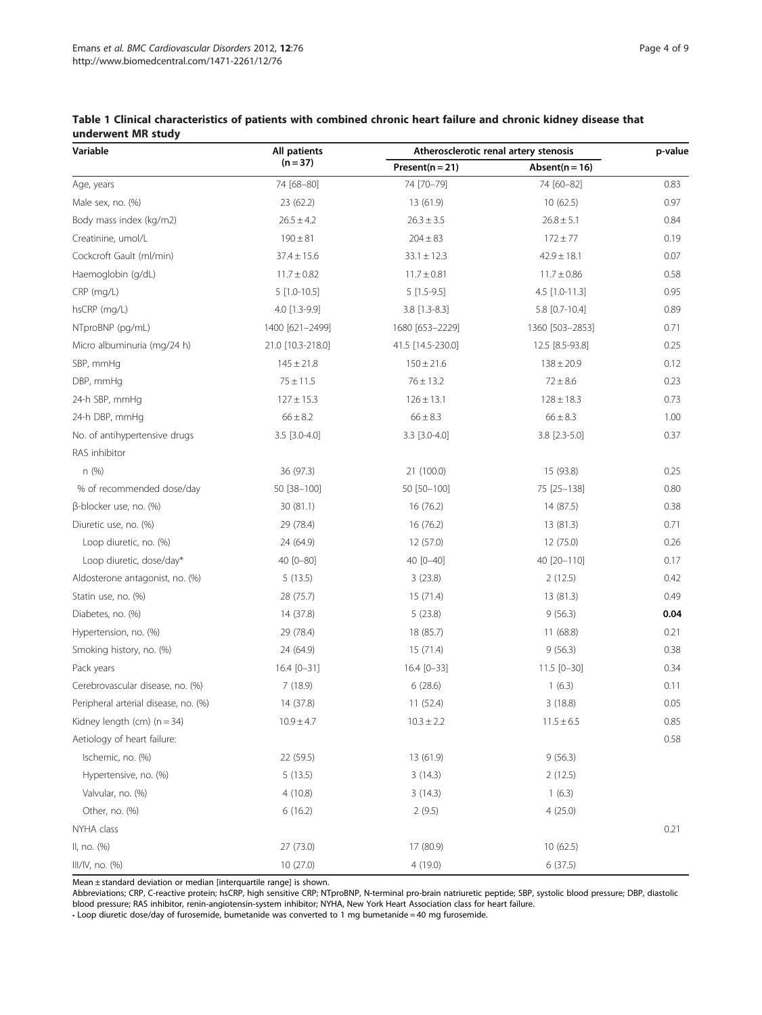| Variable                             | All patients<br>$(n = 37)$ | Atherosclerotic renal artery stenosis | p-value            |      |
|--------------------------------------|----------------------------|---------------------------------------|--------------------|------|
|                                      |                            | Present( $n = 21$ )                   | Absent( $n = 16$ ) |      |
| Age, years                           | 74 [68-80]                 | 74 [70-79]                            | 74 [60-82]         | 0.83 |
| Male sex, no. (%)                    | 23 (62.2)                  | 13 (61.9)                             | 10(62.5)           | 0.97 |
| Body mass index (kg/m2)              | $26.5 \pm 4.2$             | $26.3 \pm 3.5$                        | $26.8 \pm 5.1$     | 0.84 |
| Creatinine, umol/L                   | $190 \pm 81$               | $204 \pm 83$                          | $172 \pm 77$       | 0.19 |
| Cockcroft Gault (ml/min)             | $37.4 \pm 15.6$            | $33.1 \pm 12.3$                       | $42.9 \pm 18.1$    | 0.07 |
| Haemoglobin (g/dL)                   | $11.7 \pm 0.82$            | $11.7 \pm 0.81$                       | $11.7 \pm 0.86$    | 0.58 |
| CRP (mg/L)                           | $5$ [1.0-10.5]             | $5[1.5-9.5]$                          | 4.5 [1.0-11.3]     | 0.95 |
| hsCRP (mg/L)                         | 4.0 [1.3-9.9]              | $3.8$ [1.3-8.3]                       | 5.8 [0.7-10.4]     | 0.89 |
| NTproBNP (pg/mL)                     | 1400 [621-2499]            | 1680 [653-2229]                       | 1360 [503-2853]    | 0.71 |
| Micro albuminuria (mg/24 h)          | 21.0 [10.3-218.0]          | 41.5 [14.5-230.0]                     | 12.5 [8.5-93.8]    | 0.25 |
| SBP, mmHq                            | $145 \pm 21.8$             | $150 \pm 21.6$                        | $138 \pm 20.9$     | 0.12 |
| DBP, mmHq                            | $75 \pm 11.5$              | $76 \pm 13.2$                         | $72 \pm 8.6$       | 0.23 |
| 24-h SBP, mmHg                       | $127 \pm 15.3$             | $126 \pm 13.1$                        | $128 \pm 18.3$     | 0.73 |
| 24-h DBP, mmHq                       | $66 \pm 8.2$               | $66 \pm 8.3$                          | $66 \pm 8.3$       | 1.00 |
| No. of antihypertensive drugs        | 3.5 [3.0-4.0]              | 3.3 [3.0-4.0]                         | 3.8 [2.3-5.0]      | 0.37 |
| RAS inhibitor                        |                            |                                       |                    |      |
| n(%)                                 | 36 (97.3)                  | 21 (100.0)                            | 15 (93.8)          | 0.25 |
| % of recommended dose/day            | 50 [38-100]                | 50 [50-100]                           | 75 [25-138]        | 0.80 |
| $\beta$ -blocker use, no. $(\%)$     | 30 (81.1)                  | 16 (76.2)                             | 14 (87.5)          | 0.38 |
| Diuretic use, no. (%)                | 29 (78.4)                  | 16 (76.2)                             | 13 (81.3)          | 0.71 |
| Loop diuretic, no. (%)               | 24 (64.9)                  | 12 (57.0)                             | 12 (75.0)          | 0.26 |
| Loop diuretic, dose/day*             | 40 [0-80]                  | 40 [0-40]                             | 40 [20-110]        | 0.17 |
| Aldosterone antagonist, no. (%)      | 5(13.5)                    | 3(23.8)                               | 2(12.5)            | 0.42 |
| Statin use, no. (%)                  | 28 (75.7)                  | 15(71.4)                              | 13 (81.3)          | 0.49 |
| Diabetes, no. (%)                    | 14 (37.8)                  | 5(23.8)                               | 9(56.3)            | 0.04 |
| Hypertension, no. (%)                | 29 (78.4)                  | 18 (85.7)                             | 11(68.8)           | 0.21 |
| Smoking history, no. (%)             | 24 (64.9)                  | 15 (71.4)                             | 9(56.3)            | 0.38 |
| Pack years                           | $16.4 [0-31]$              | 16.4 [0-33]                           | $11.5 [0 - 30]$    | 0.34 |
| Cerebrovascular disease, no. (%)     | 7(18.9)                    | 6(28.6)                               | 1(6.3)             | 0.11 |
| Peripheral arterial disease, no. (%) | 14 (37.8)                  | 11(52.4)                              | 3(18.8)            | 0.05 |
| Kidney length (cm) $(n = 34)$        | $10.9 \pm 4.7$             | $10.3 \pm 2.2$                        | $11.5 \pm 6.5$     | 0.85 |
| Aetiology of heart failure:          |                            |                                       |                    | 0.58 |
| Ischemic, no. (%)                    | 22 (59.5)                  | 13 (61.9)                             | 9(56.3)            |      |
| Hypertensive, no. (%)                | 5(13.5)                    | 3(14.3)                               | 2(12.5)            |      |
| Valvular, no. (%)                    | 4(10.8)                    | 3(14.3)                               | 1(6.3)             |      |
| Other, no. (%)                       | 6(16.2)                    | 2(9.5)                                | 4(25.0)            |      |
| NYHA class                           |                            |                                       |                    | 0.21 |
| II, no. (%)                          | 27 (73.0)                  | 17 (80.9)                             | 10(62.5)           |      |
| III/IV, no. (%)                      | 10 (27.0)                  | 4 (19.0)                              | 6(37.5)            |      |

<span id="page-3-0"></span>Table 1 Clinical characteristics of patients with combined chronic heart failure and chronic kidney disease that underwent MR study

Mean ± standard deviation or median [interquartile range] is shown.

Abbreviations; CRP, C-reactive protein; hsCRP, high sensitive CRP; NTproBNP, N-terminal pro-brain natriuretic peptide; SBP, systolic blood pressure; DBP, diastolic blood pressure; RAS inhibitor, renin-angiotensin-system inhibitor; NYHA, New York Heart Association class for heart failure.

• Loop diuretic dose/day of furosemide, bumetanide was converted to 1 mg bumetanide = 40 mg furosemide.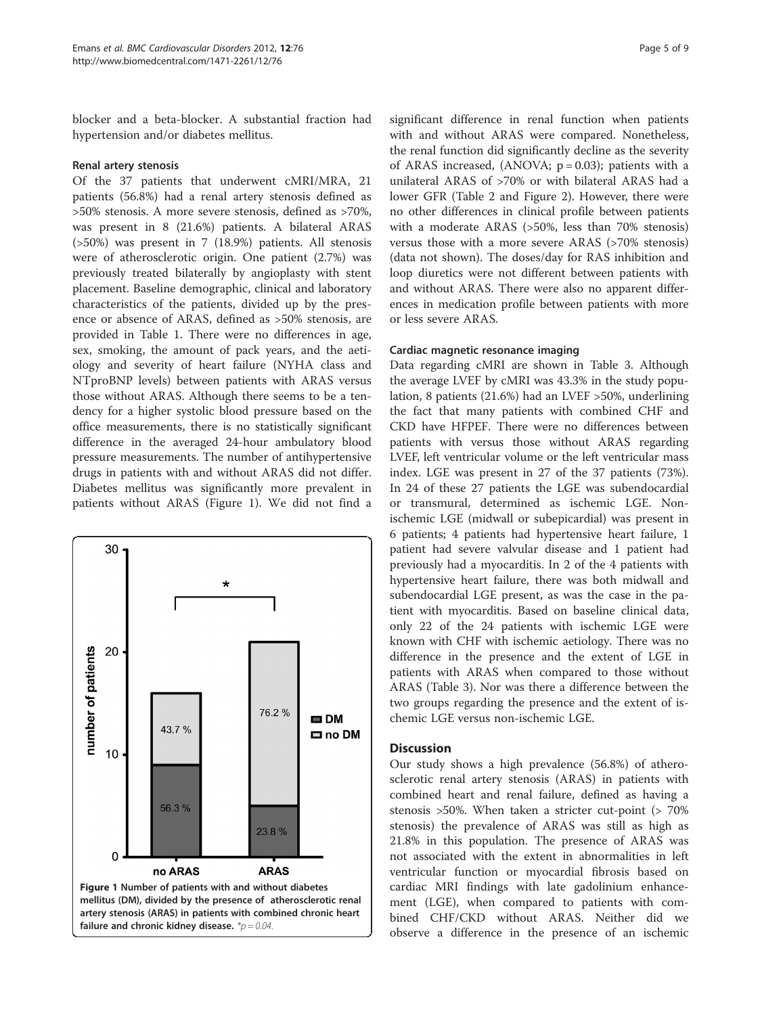<span id="page-4-0"></span>blocker and a beta-blocker. A substantial fraction had hypertension and/or diabetes mellitus.

## Renal artery stenosis

Of the 37 patients that underwent cMRI/MRA, 21 patients (56.8%) had a renal artery stenosis defined as >50% stenosis. A more severe stenosis, defined as >70%, was present in 8 (21.6%) patients. A bilateral ARAS (>50%) was present in 7 (18.9%) patients. All stenosis were of atherosclerotic origin. One patient (2.7%) was previously treated bilaterally by angioplasty with stent placement. Baseline demographic, clinical and laboratory characteristics of the patients, divided up by the presence or absence of ARAS, defined as >50% stenosis, are provided in Table [1.](#page-3-0) There were no differences in age, sex, smoking, the amount of pack years, and the aetiology and severity of heart failure (NYHA class and NTproBNP levels) between patients with ARAS versus those without ARAS. Although there seems to be a tendency for a higher systolic blood pressure based on the office measurements, there is no statistically significant difference in the averaged 24-hour ambulatory blood pressure measurements. The number of antihypertensive drugs in patients with and without ARAS did not differ. Diabetes mellitus was significantly more prevalent in patients without ARAS (Figure 1). We did not find a



significant difference in renal function when patients with and without ARAS were compared. Nonetheless, the renal function did significantly decline as the severity of ARAS increased, (ANOVA;  $p = 0.03$ ); patients with a unilateral ARAS of >70% or with bilateral ARAS had a lower GFR (Table [2](#page-5-0) and Figure [2\)](#page-5-0). However, there were no other differences in clinical profile between patients with a moderate ARAS (>50%, less than 70% stenosis) versus those with a more severe ARAS (>70% stenosis) (data not shown). The doses/day for RAS inhibition and loop diuretics were not different between patients with and without ARAS. There were also no apparent differences in medication profile between patients with more or less severe ARAS.

#### Cardiac magnetic resonance imaging

Data regarding cMRI are shown in Table [3](#page-6-0). Although the average LVEF by cMRI was 43.3% in the study population, 8 patients (21.6%) had an LVEF >50%, underlining the fact that many patients with combined CHF and CKD have HFPEF. There were no differences between patients with versus those without ARAS regarding LVEF, left ventricular volume or the left ventricular mass index. LGE was present in 27 of the 37 patients (73%). In 24 of these 27 patients the LGE was subendocardial or transmural, determined as ischemic LGE. Nonischemic LGE (midwall or subepicardial) was present in 6 patients; 4 patients had hypertensive heart failure, 1 patient had severe valvular disease and 1 patient had previously had a myocarditis. In 2 of the 4 patients with hypertensive heart failure, there was both midwall and subendocardial LGE present, as was the case in the patient with myocarditis. Based on baseline clinical data, only 22 of the 24 patients with ischemic LGE were known with CHF with ischemic aetiology. There was no difference in the presence and the extent of LGE in patients with ARAS when compared to those without ARAS (Table [3\)](#page-6-0). Nor was there a difference between the two groups regarding the presence and the extent of ischemic LGE versus non-ischemic LGE.

## **Discussion**

Our study shows a high prevalence (56.8%) of atherosclerotic renal artery stenosis (ARAS) in patients with combined heart and renal failure, defined as having a stenosis >50%. When taken a stricter cut-point (> 70% stenosis) the prevalence of ARAS was still as high as 21.8% in this population. The presence of ARAS was not associated with the extent in abnormalities in left ventricular function or myocardial fibrosis based on cardiac MRI findings with late gadolinium enhancement (LGE), when compared to patients with combined CHF/CKD without ARAS. Neither did we observe a difference in the presence of an ischemic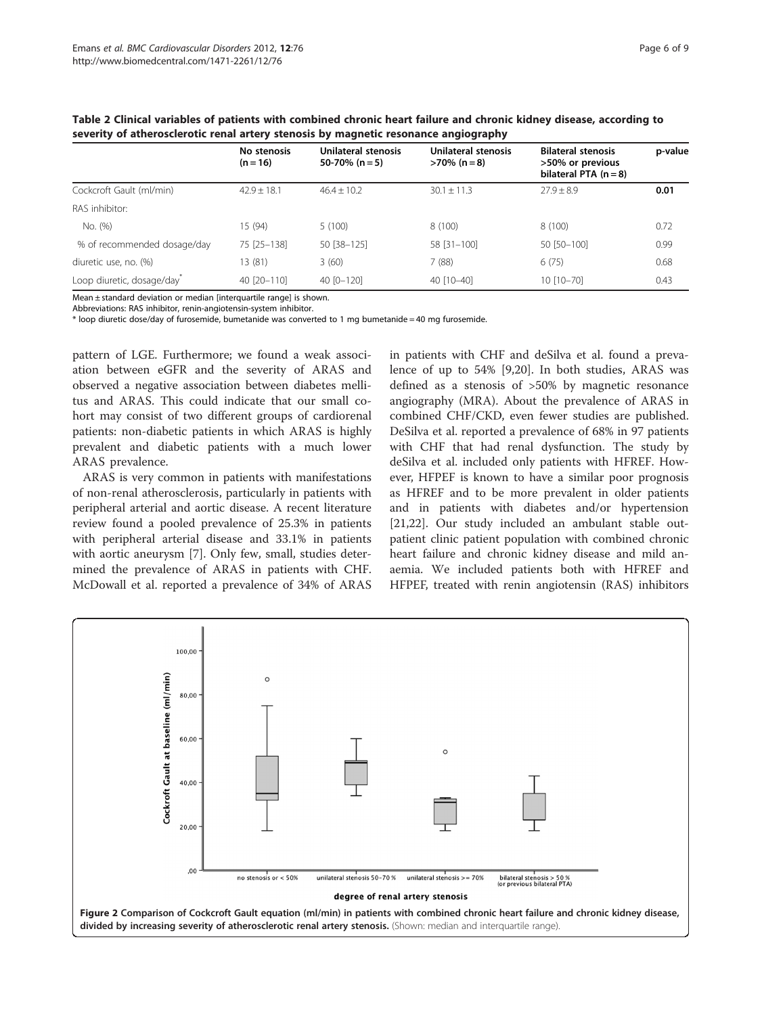|                             | No stenosis<br>$(n = 16)$ | Unilateral stenosis<br>50-70% ( $n = 5$ ) | Unilateral stenosis<br>$>70\%$ (n = 8) | <b>Bilateral stenosis</b><br>>50% or previous<br>bilateral PTA $(n = 8)$ | p-value |
|-----------------------------|---------------------------|-------------------------------------------|----------------------------------------|--------------------------------------------------------------------------|---------|
| Cockcroft Gault (ml/min)    | $42.9 + 18.1$             | $46.4 + 10.2$                             | $30.1 \pm 11.3$                        | $77.9 + 8.9$                                                             | 0.01    |
| RAS inhibitor:              |                           |                                           |                                        |                                                                          |         |
| No. (%)                     | 15 (94)                   | 5(100)                                    | 8(100)                                 | 8(100)                                                                   | 0.72    |
| % of recommended dosage/day | 75 [25-138]               | 50 [38-125]                               | 58 [31-100]                            | 50 [50-100]                                                              | 0.99    |
| diuretic use, no. (%)       | 13 (81)                   | 3(60)                                     | 7(88)                                  | 6(75)                                                                    | 0.68    |
| Loop diuretic, dosage/day   | 40 [20-110]               | 40 [0-120]                                | 40 [10-40]                             | $10$ $[10 - 70]$                                                         | 0.43    |

<span id="page-5-0"></span>Table 2 Clinical variables of patients with combined chronic heart failure and chronic kidney disease, according to severity of atherosclerotic renal artery stenosis by magnetic resonance angiography

Mean ± standard deviation or median [interquartile range] is shown.

Abbreviations: RAS inhibitor, renin-angiotensin-system inhibitor.

\* loop diuretic dose/day of furosemide, bumetanide was converted to 1 mg bumetanide = 40 mg furosemide.

pattern of LGE. Furthermore; we found a weak association between eGFR and the severity of ARAS and observed a negative association between diabetes mellitus and ARAS. This could indicate that our small cohort may consist of two different groups of cardiorenal patients: non-diabetic patients in which ARAS is highly prevalent and diabetic patients with a much lower ARAS prevalence.

ARAS is very common in patients with manifestations of non-renal atherosclerosis, particularly in patients with peripheral arterial and aortic disease. A recent literature review found a pooled prevalence of 25.3% in patients with peripheral arterial disease and 33.1% in patients with aortic aneurysm [[7\]](#page-8-0). Only few, small, studies determined the prevalence of ARAS in patients with CHF. McDowall et al. reported a prevalence of 34% of ARAS in patients with CHF and deSilva et al. found a prevalence of up to 54% [\[9,20](#page-8-0)]. In both studies, ARAS was defined as a stenosis of >50% by magnetic resonance angiography (MRA). About the prevalence of ARAS in combined CHF/CKD, even fewer studies are published. DeSilva et al. reported a prevalence of 68% in 97 patients with CHF that had renal dysfunction. The study by deSilva et al. included only patients with HFREF. However, HFPEF is known to have a similar poor prognosis as HFREF and to be more prevalent in older patients and in patients with diabetes and/or hypertension [[21,22\]](#page-8-0). Our study included an ambulant stable outpatient clinic patient population with combined chronic heart failure and chronic kidney disease and mild anaemia. We included patients both with HFREF and HFPEF, treated with renin angiotensin (RAS) inhibitors

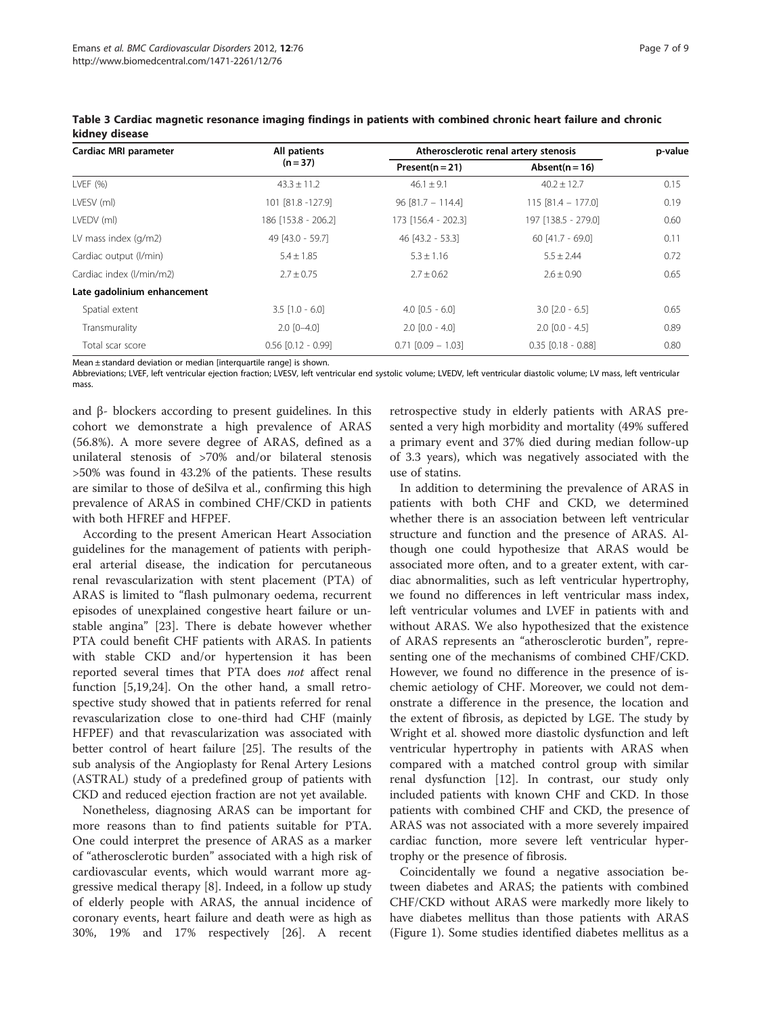| Cardiac MRI parameter       | All patients           | Atherosclerotic renal artery stenosis | p-value                |      |
|-----------------------------|------------------------|---------------------------------------|------------------------|------|
|                             | $(n=37)$               | $Present(n = 21)$                     | Absent( $n = 16$ )     |      |
| LVEF (%)                    | $43.3 \pm 11.2$        | $46.1 \pm 9.1$                        | $40.2 \pm 12.7$        | 0.15 |
| LVESV (ml)                  | 101 [81.8 -127.9]      | $96$ [81.7 - 114.4]                   | $115$ [81.4 - 177.0]   | 0.19 |
| LVEDV (ml)                  | 186 [153.8 - 206.2]    | 173 [156.4 - 202.3]                   | 197 [138.5 - 279.0]    | 0.60 |
| LV mass index (g/m2)        | 49 [43.0 - 59.7]       | 46 [43.2 - 53.3]                      | $60$ [41.7 - 69.0]     | 0.11 |
| Cardiac output (I/min)      | $5.4 \pm 1.85$         | $5.3 \pm 1.16$                        | $5.5 \pm 2.44$         | 0.72 |
| Cardiac index (I/min/m2)    | $2.7 \pm 0.75$         | $2.7 \pm 0.62$                        | $2.6 \pm 0.90$         | 0.65 |
| Late gadolinium enhancement |                        |                                       |                        |      |
| Spatial extent              | $3.5$ $[1.0 - 6.0]$    | $4.0$ [0.5 - 6.0]                     | $3.0$ $[2.0 - 6.5]$    | 0.65 |
| Transmurality               | $2.0$ [0-4.0]          | $2.0$ $[0.0 - 4.0]$                   | $2.0$ $[0.0 - 4.5]$    | 0.89 |
| Total scar score            | $0.56$ $[0.12 - 0.99]$ | $0.71$ $[0.09 - 1.03]$                | $0.35$ $[0.18 - 0.88]$ | 0.80 |

<span id="page-6-0"></span>Table 3 Cardiac magnetic resonance imaging findings in patients with combined chronic heart failure and chronic kidney disease

Mean ± standard deviation or median [interquartile range] is shown.

Abbreviations; LVEF, left ventricular ejection fraction; LVESV, left ventricular end systolic volume; LVEDV, left ventricular diastolic volume; LV mass, left ventricular mass.

and β- blockers according to present guidelines. In this cohort we demonstrate a high prevalence of ARAS (56.8%). A more severe degree of ARAS, defined as a unilateral stenosis of >70% and/or bilateral stenosis >50% was found in 43.2% of the patients. These results are similar to those of deSilva et al., confirming this high prevalence of ARAS in combined CHF/CKD in patients with both HFREF and HFPEF.

According to the present American Heart Association guidelines for the management of patients with peripheral arterial disease, the indication for percutaneous renal revascularization with stent placement (PTA) of ARAS is limited to "flash pulmonary oedema, recurrent episodes of unexplained congestive heart failure or unstable angina" [\[23](#page-8-0)]. There is debate however whether PTA could benefit CHF patients with ARAS. In patients with stable CKD and/or hypertension it has been reported several times that PTA does not affect renal function [\[5](#page-7-0)[,19,24](#page-8-0)]. On the other hand, a small retrospective study showed that in patients referred for renal revascularization close to one-third had CHF (mainly HFPEF) and that revascularization was associated with better control of heart failure [\[25](#page-8-0)]. The results of the sub analysis of the Angioplasty for Renal Artery Lesions (ASTRAL) study of a predefined group of patients with CKD and reduced ejection fraction are not yet available.

Nonetheless, diagnosing ARAS can be important for more reasons than to find patients suitable for PTA. One could interpret the presence of ARAS as a marker of "atherosclerotic burden" associated with a high risk of cardiovascular events, which would warrant more aggressive medical therapy [[8\]](#page-8-0). Indeed, in a follow up study of elderly people with ARAS, the annual incidence of coronary events, heart failure and death were as high as 30%, 19% and 17% respectively [\[26](#page-8-0)]. A recent retrospective study in elderly patients with ARAS presented a very high morbidity and mortality (49% suffered a primary event and 37% died during median follow-up of 3.3 years), which was negatively associated with the use of statins.

In addition to determining the prevalence of ARAS in patients with both CHF and CKD, we determined whether there is an association between left ventricular structure and function and the presence of ARAS. Although one could hypothesize that ARAS would be associated more often, and to a greater extent, with cardiac abnormalities, such as left ventricular hypertrophy, we found no differences in left ventricular mass index, left ventricular volumes and LVEF in patients with and without ARAS. We also hypothesized that the existence of ARAS represents an "atherosclerotic burden", representing one of the mechanisms of combined CHF/CKD. However, we found no difference in the presence of ischemic aetiology of CHF. Moreover, we could not demonstrate a difference in the presence, the location and the extent of fibrosis, as depicted by LGE. The study by Wright et al. showed more diastolic dysfunction and left ventricular hypertrophy in patients with ARAS when compared with a matched control group with similar renal dysfunction [\[12\]](#page-8-0). In contrast, our study only included patients with known CHF and CKD. In those patients with combined CHF and CKD, the presence of ARAS was not associated with a more severely impaired cardiac function, more severe left ventricular hypertrophy or the presence of fibrosis.

Coincidentally we found a negative association between diabetes and ARAS; the patients with combined CHF/CKD without ARAS were markedly more likely to have diabetes mellitus than those patients with ARAS (Figure [1\)](#page-4-0). Some studies identified diabetes mellitus as a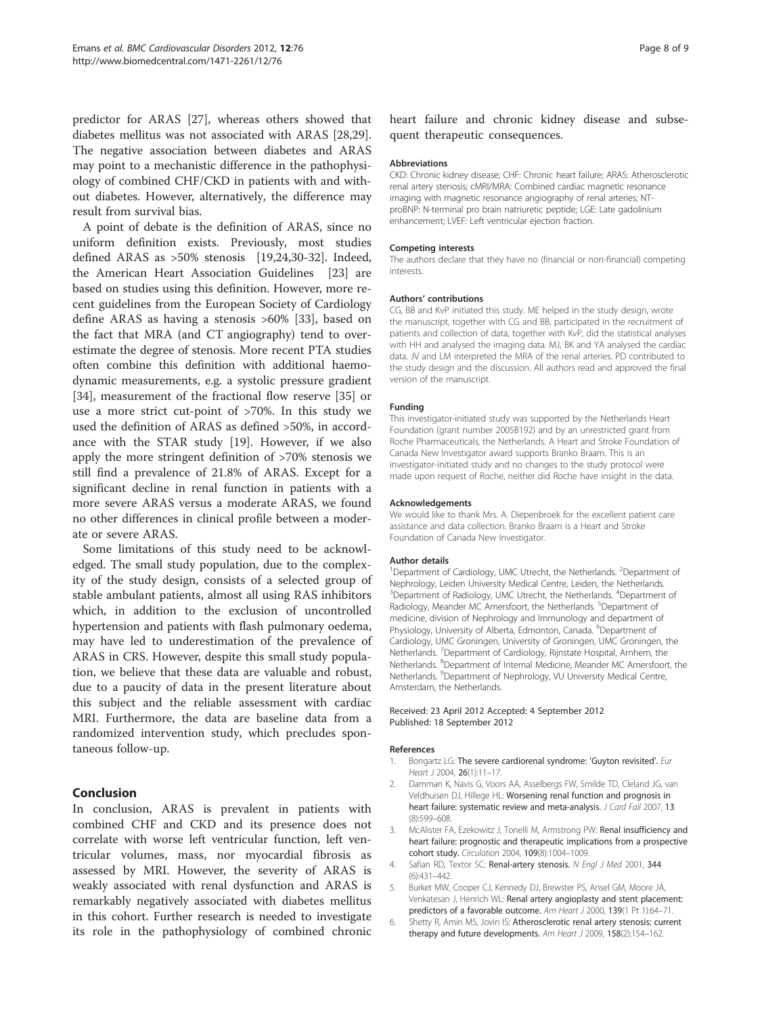<span id="page-7-0"></span>predictor for ARAS [[27\]](#page-8-0), whereas others showed that diabetes mellitus was not associated with ARAS [\[28,29](#page-8-0)]. The negative association between diabetes and ARAS may point to a mechanistic difference in the pathophysiology of combined CHF/CKD in patients with and without diabetes. However, alternatively, the difference may result from survival bias.

A point of debate is the definition of ARAS, since no uniform definition exists. Previously, most studies defined ARAS as >50% stenosis [[19,24](#page-8-0),[30](#page-8-0)-[32\]](#page-8-0). Indeed, the American Heart Association Guidelines [[23](#page-8-0)] are based on studies using this definition. However, more recent guidelines from the European Society of Cardiology define ARAS as having a stenosis >60% [\[33](#page-8-0)], based on the fact that MRA (and CT angiography) tend to overestimate the degree of stenosis. More recent PTA studies often combine this definition with additional haemodynamic measurements, e.g. a systolic pressure gradient [[34\]](#page-8-0), measurement of the fractional flow reserve [\[35\]](#page-8-0) or use a more strict cut-point of >70%. In this study we used the definition of ARAS as defined >50%, in accordance with the STAR study [[19\]](#page-8-0). However, if we also apply the more stringent definition of >70% stenosis we still find a prevalence of 21.8% of ARAS. Except for a significant decline in renal function in patients with a more severe ARAS versus a moderate ARAS, we found no other differences in clinical profile between a moderate or severe ARAS.

Some limitations of this study need to be acknowledged. The small study population, due to the complexity of the study design, consists of a selected group of stable ambulant patients, almost all using RAS inhibitors which, in addition to the exclusion of uncontrolled hypertension and patients with flash pulmonary oedema, may have led to underestimation of the prevalence of ARAS in CRS. However, despite this small study population, we believe that these data are valuable and robust, due to a paucity of data in the present literature about this subject and the reliable assessment with cardiac MRI. Furthermore, the data are baseline data from a randomized intervention study, which precludes spontaneous follow-up.

# Conclusion

In conclusion, ARAS is prevalent in patients with combined CHF and CKD and its presence does not correlate with worse left ventricular function, left ventricular volumes, mass, nor myocardial fibrosis as assessed by MRI. However, the severity of ARAS is weakly associated with renal dysfunction and ARAS is remarkably negatively associated with diabetes mellitus in this cohort. Further research is needed to investigate its role in the pathophysiology of combined chronic heart failure and chronic kidney disease and subsequent therapeutic consequences.

#### Abbreviations

CKD: Chronic kidney disease; CHF: Chronic heart failure; ARAS: Atherosclerotic renal artery stenosis; cMRI/MRA: Combined cardiac magnetic resonance imaging with magnetic resonance angiography of renal arteries; NTproBNP: N-terminal pro brain natriuretic peptide; LGE: Late gadolinium enhancement; LVEF: Left ventricular ejection fraction.

#### Competing interests

The authors declare that they have no (financial or non-financial) competing interests.

#### Authors' contributions

CG, BB and KvP initiated this study. ME helped in the study design, wrote the manuscript, together with CG and BB, participated in the recruitment of patients and collection of data, together with KvP, did the statistical analyses with HH and analysed the imaging data. MJ, BK and YA analysed the cardiac data. JV and LM interpreted the MRA of the renal arteries. PD contributed to the study design and the discussion. All authors read and approved the final version of the manuscript.

#### Funding

This investigator-initiated study was supported by the Netherlands Heart Foundation (grant number 2005B192) and by an unrestricted grant from Roche Pharmaceuticals, the Netherlands. A Heart and Stroke Foundation of Canada New Investigator award supports Branko Braam. This is an investigator-initiated study and no changes to the study protocol were made upon request of Roche, neither did Roche have insight in the data.

#### Acknowledgements

We would like to thank Mrs. A. Diepenbroek for the excellent patient care assistance and data collection. Branko Braam is a Heart and Stroke Foundation of Canada New Investigator.

#### Author details

<sup>1</sup>Department of Cardiology, UMC Utrecht, the Netherlands. <sup>2</sup>Department of Nephrology, Leiden University Medical Centre, Leiden, the Netherlands. <sup>3</sup>Department of Radiology, UMC Utrecht, the Netherlands. <sup>4</sup>Department of Radiology, Meander MC Amersfoort, the Netherlands. <sup>5</sup>Department of medicine, division of Nephrology and Immunology and department of Physiology, University of Alberta, Edmonton, Canada. <sup>6</sup>Department of Cardiology, UMC Groningen, University of Groningen, UMC Groningen, the Netherlands. <sup>7</sup>Department of Cardiology, Rijnstate Hospital, Arnhem, the Netherlands. <sup>8</sup>Department of Internal Medicine, Meander MC Amersfoort, the Netherlands. <sup>9</sup>Department of Nephrology, VU University Medical Centre, Amsterdam, the Netherlands.

#### Received: 23 April 2012 Accepted: 4 September 2012 Published: 18 September 2012

#### References

- 1. Bongartz LG: The severe cardiorenal syndrome: 'Guyton revisited'. Eur Heart J 2004, 26(1):11-17.
- 2. Damman K, Navis G, Voors AA, Asselbergs FW, Smilde TD, Cleland JG, van Veldhuisen DJ, Hillege HL: Worsening renal function and prognosis in heart failure: systematic review and meta-analysis. J Card Fail 2007, 13 (8):599–608.
- 3. McAlister FA, Ezekowitz J, Tonelli M, Armstrong PW: Renal insufficiency and heart failure: prognostic and therapeutic implications from a prospective cohort study. Circulation 2004, 109(8):1004–1009.
- 4. Safian RD, Textor SC: Renal-artery stenosis. N Engl J Med 2001, 344 (6):431–442.
- 5. Burket MW, Cooper CJ, Kennedy DJ, Brewster PS, Ansel GM, Moore JA, Venkatesan J, Henrich WL: Renal artery angioplasty and stent placement: predictors of a favorable outcome. Am Heart J 2000, 139(1 Pt 1):64–71.
- 6. Shetty R, Amin MS, Jovin IS: Atherosclerotic renal artery stenosis: current therapy and future developments. Am Heart J 2009, 158(2):154-162.